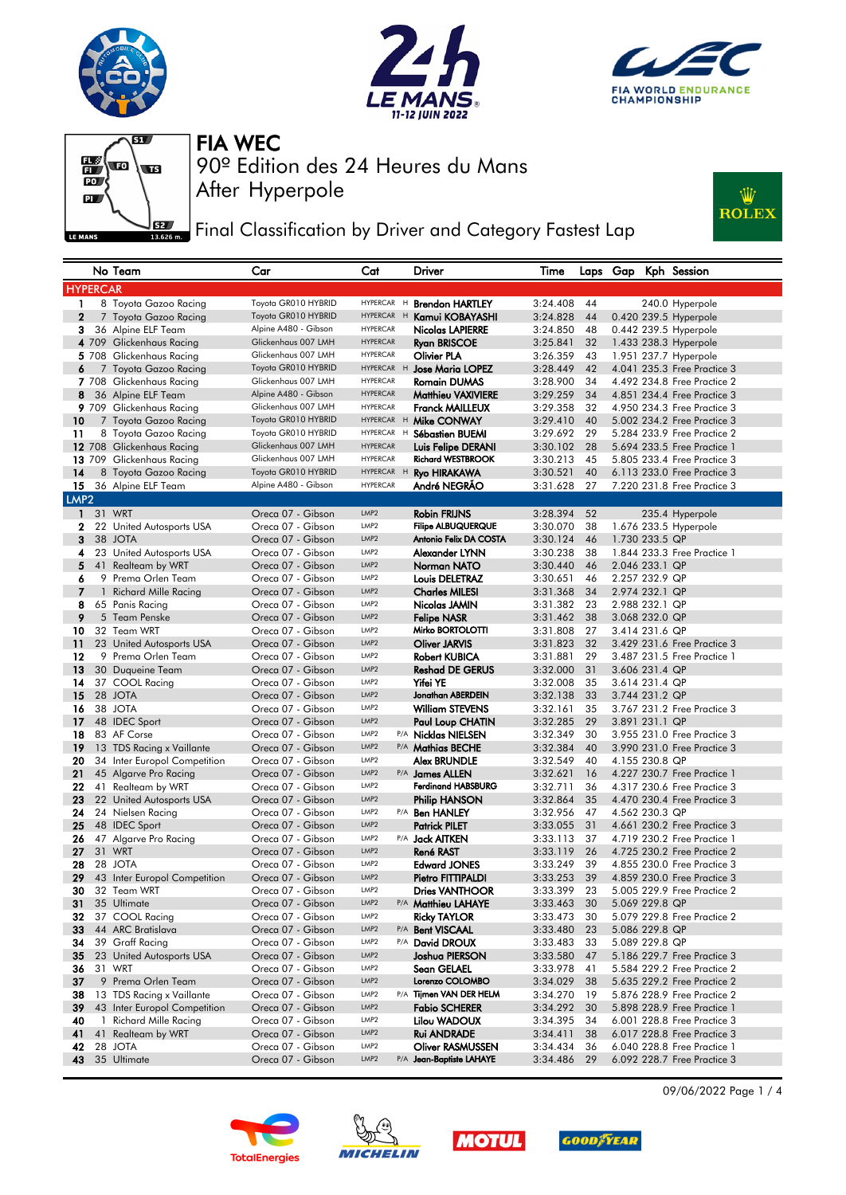







**Fig. 3** Final Classification by Driver and Category Fastest Lap



|                     |    | No Team                                 | Car                                    | Cat                                  |     | Driver                                              | Time                 |          |                                  | Laps Gap Kph Session                                       |
|---------------------|----|-----------------------------------------|----------------------------------------|--------------------------------------|-----|-----------------------------------------------------|----------------------|----------|----------------------------------|------------------------------------------------------------|
| <b>HYPERCAR</b>     |    |                                         |                                        |                                      |     |                                                     |                      |          |                                  |                                                            |
| 1                   |    | 8 Toyota Gazoo Racing                   | Toyota GR010 HYBRID                    | HYPERCAR H                           |     | <b>Brendon HARTLEY</b>                              | 3:24.408             | 44       |                                  | 240.0 Hyperpole                                            |
| $\mathbf{2}$        |    | 7 Toyota Gazoo Racing                   | Toyota GR010 HYBRID                    | HYPERCAR H                           |     | Kamui KOBAYASHI                                     | 3:24.828             | 44       |                                  | 0.420 239.5 Hyperpole                                      |
| 3                   |    | 36 Alpine ELF Team                      | Alpine A480 - Gibson                   | <b>HYPERCAR</b>                      |     | <b>Nicolas LAPIERRE</b>                             | 3:24.850             | 48       |                                  | 0.442 239.5 Hyperpole                                      |
|                     |    | 4 709 Glickenhaus Racing                | Glickenhaus 007 LMH                    | <b>HYPERCAR</b>                      |     | <b>Ryan BRISCOE</b>                                 | 3:25.841             | 32       |                                  | 1.433 238.3 Hyperpole                                      |
|                     |    | 5 708 Glickenhaus Racing                | Glickenhaus 007 LMH                    | <b>HYPERCAR</b>                      |     | Olivier PLA                                         | 3:26.359             | 43       |                                  | 1.951 237.7 Hyperpole                                      |
| 6                   |    | 7 Toyota Gazoo Racing                   | Toyota GR010 HYBRID                    | <b>HYPERCAR</b>                      | H   | <b>Jose Maria LOPEZ</b>                             | 3:28.449             | 42       |                                  | 4.041 235.3 Free Practice 3                                |
|                     |    | 7 708 Glickenhaus Racing                | Glickenhaus 007 LMH                    | <b>HYPERCAR</b>                      |     | <b>Romain DUMAS</b>                                 | 3:28.900             | 34       |                                  | 4.492 234.8 Free Practice 2                                |
| 8                   |    | 36 Alpine ELF Team                      | Alpine A480 - Gibson                   | <b>HYPERCAR</b>                      |     | <b>Matthieu VAXIVIERE</b>                           | 3:29.259             | 34       |                                  | 4.851 234.4 Free Practice 3                                |
|                     |    | 9 709 Glickenhaus Racing                | Glickenhaus 007 LMH                    | <b>HYPERCAR</b>                      |     | <b>Franck MAILLEUX</b>                              | 3:29.358             | 32       |                                  | 4.950 234.3 Free Practice 3                                |
| 10                  |    | 7 Toyota Gazoo Racing                   | Toyota GR010 HYBRID                    | HYPERCAR H                           |     | Mike CONWAY                                         | 3:29.410             | 40       |                                  | 5.002 234.2 Free Practice 3                                |
| 11                  |    | 8 Toyota Gazoo Racing                   | Toyota GR010 HYBRID                    | HYPERCAR H                           |     | Sébastien BUEMI                                     | 3:29.692             | 29       |                                  | 5.284 233.9 Free Practice 2                                |
|                     |    | 12 708 Glickenhaus Racing               | Glickenhaus 007 LMH                    | <b>HYPERCAR</b>                      |     | Luis Felipe DERANI                                  | 3:30.102             | 28       |                                  | 5.694 233.5 Free Practice 1                                |
|                     |    | 13 709 Glickenhaus Racing               | Glickenhaus 007 LMH                    | <b>HYPERCAR</b>                      |     | <b>Richard WESTBROOK</b>                            | 3:30.213             | 45       |                                  | 5,805 233.4 Free Practice 3                                |
| 14                  |    | 8 Toyota Gazoo Racing                   | Toyota GR010 HYBRID                    | HYPERCAR H                           |     | <b>Ryo HIRAKAWA</b>                                 | 3:30.521             | 40       |                                  | 6.113 233.0 Free Practice 3                                |
| 15                  |    | 36 Alpine ELF Team                      | Alpine A480 - Gibson                   | <b>HYPERCAR</b>                      |     | André NEGRAO                                        | 3:31.628             | 27       |                                  | 7.220 231.8 Free Practice 3                                |
| LMP <sub>2</sub>    |    |                                         |                                        |                                      |     |                                                     |                      |          |                                  |                                                            |
| 1                   |    | 31 WRT                                  | Oreca 07 - Gibson                      | LMP <sub>2</sub>                     |     | <b>Robin FRIJNS</b>                                 | 3:28.394             | 52       |                                  | 235.4 Hyperpole                                            |
| $\mathbf{2}$        |    | 22 United Autosports USA                | Oreca 07 - Gibson                      | LMP <sub>2</sub>                     |     | <b>Filipe ALBUQUERQUE</b><br>Antonio Felix DA COSTA | 3:30.070             | 38       |                                  | 1.676 233.5 Hyperpole                                      |
| 3                   |    | 38 JOTA                                 | Oreca 07 - Gibson                      | LMP <sub>2</sub>                     |     |                                                     | 3:30.124             | 46       | 1.730 233.5 QP                   |                                                            |
| 4                   |    | 23 United Autosports USA                | Oreca 07 - Gibson                      | LMP <sub>2</sub><br>LMP <sub>2</sub> |     | Alexander LYNN                                      | 3:30.238             | 38       |                                  | 1,844 233,3 Free Practice 1                                |
| 5                   | 41 | Realteam by WRT                         | Oreca 07 - Gibson                      | LMP <sub>2</sub>                     |     | Norman NATO                                         | 3:30.440             | 46       | 2.046 233.1 QP                   |                                                            |
| 6<br>$\overline{7}$ |    | 9 Prema Orlen Team                      | Oreca 07 - Gibson<br>Oreca 07 - Gibson | LMP2                                 |     | <b>Louis DELETRAZ</b>                               | 3:30.651<br>3:31.368 | 46<br>34 | 2.257 232.9 QP<br>2.974 232.1 QP |                                                            |
| 8                   | 1  | Richard Mille Racing<br>65 Panis Racing | Oreca 07 - Gibson                      | LMP <sub>2</sub>                     |     | Charles MILESI<br>Nicolas JAMIN                     | 3:31.382             | 23       | 2.988 232.1 QP                   |                                                            |
| 9                   |    | 5 Team Penske                           | Oreca 07 - Gibson                      | LMP2                                 |     | Felipe NASR                                         | 3:31.462             | 38       | 3.068 232.0 QP                   |                                                            |
| 10                  |    | 32 Team WRT                             | Oreca 07 - Gibson                      | LMP <sub>2</sub>                     |     | Mirko BORTOLOTTI                                    | 3:31.808             | 27       | 3.414 231.6 QP                   |                                                            |
| 11                  |    | 23 United Autosports USA                | Oreca 07 - Gibson                      | LMP <sub>2</sub>                     |     | Oliver JARVIS                                       | 3:31.823             | 32       |                                  | 3.429 231.6 Free Practice 3                                |
| 12                  |    | 9 Prema Orlen Team                      | Oreca 07 - Gibson                      | LMP <sub>2</sub>                     |     | <b>Robert KUBICA</b>                                | 3:31.881             | 29       |                                  | 3.487 231.5 Free Practice 1                                |
| 13                  |    | 30 Duqueine Team                        | Oreca 07 - Gibson                      | LMP <sub>2</sub>                     |     | <b>Reshad DE GERUS</b>                              | 3:32.000             | 31       | 3.606 231.4 QP                   |                                                            |
| 14                  |    | 37 COOL Racing                          | Oreca 07 - Gibson                      | LMP <sub>2</sub>                     |     | <b>Yifei YE</b>                                     | 3:32.008             | 35       | 3.614 231.4 QP                   |                                                            |
| 15                  |    | 28 JOTA                                 | Oreca 07 - Gibson                      | LMP <sub>2</sub>                     |     | Jonathan ABERDEIN                                   | 3:32.138             | 33       | 3.744 231.2 QP                   |                                                            |
| 16                  |    | 38 JOTA                                 | Oreca 07 - Gibson                      | LMP <sub>2</sub>                     |     | <b>William STEVENS</b>                              | 3:32.161             | 35       |                                  | 3.767 231.2 Free Practice 3                                |
| 17                  |    | 48 IDEC Sport                           | Oreca 07 - Gibson                      | LMP2                                 |     | Paul Loup CHATIN                                    | 3:32.285             | 29       | 3.891 231.1 QP                   |                                                            |
| 18                  |    | 83 AF Corse                             | Oreca 07 - Gibson                      | LMP <sub>2</sub>                     |     | P/A <b>Nicklas NIELSEN</b>                          | 3:32.349             | 30       |                                  | 3.955 231.0 Free Practice 3                                |
| 19                  |    | 13 TDS Racing x Vaillante               | Oreca 07 - Gibson                      | LMP2                                 |     | P/A Mathias BECHE                                   | 3:32.384             | 40       |                                  | 3.990 231.0 Free Practice 3                                |
| 20                  |    | 34 Inter Europol Competition            | Oreca 07 - Gibson                      | LMP <sub>2</sub>                     |     | Alex BRUNDLE                                        | 3:32.549             | 40       | 4.155 230.8 QP                   |                                                            |
| 21                  |    | 45 Algarve Pro Racing                   | Oreca 07 - Gibson                      | LMP2                                 |     | P/A James ALLEN                                     | 3:32.621             | 16       |                                  | 4.227 230.7 Free Practice 1                                |
| 22                  |    | 41 Realteam by WRT                      | Oreca 07 - Gibson                      | LMP <sub>2</sub>                     |     | <b>Ferdinand HABSBURG</b>                           | 3:32.711             | 36       |                                  | 4.317 230.6 Free Practice 3                                |
| 23                  |    | 22 United Autosports USA                | Oreca 07 - Gibson                      | LMP <sub>2</sub>                     |     | <b>Philip HANSON</b>                                | 3:32.864             | 35       |                                  | 4.470 230.4 Free Practice 3                                |
| 24                  |    | 24 Nielsen Racing                       | Oreca 07 - Gibson                      | LMP <sub>2</sub>                     |     | P/A <b>Ben HANLEY</b>                               | 3:32.956             | 47       | 4.562 230.3 QP                   |                                                            |
| 25                  |    | 48 IDEC Sport                           | Oreca 07 - Gibson                      | LMP2                                 |     | <b>Patrick PILET</b>                                | 3:33.055             | 31       |                                  | 4.661 230.2 Free Practice 3                                |
| 26                  |    | 47 Algarve Pro Racing                   | Oreca 07 - Gibson                      | LMP2                                 |     | P/A <b>Jack AITKEN</b>                              | 3:33.113             | 37       |                                  | 4.719 230.2 Free Practice 1                                |
| 27                  |    | 31 WRT                                  | Oreca 07 - Gibson                      | LMP2                                 |     | <b>René RAST</b>                                    | 3:33.119             | 26       |                                  | 4.725 230.2 Free Practice 2                                |
| 28<br>29            |    | 28 JOTA<br>43 Inter Europol Competition | Oreca 07 - Gibson<br>Oreca 07 - Gibson | LMP <sub>2</sub><br>LMP <sub>2</sub> |     | <b>Edward JONES</b>                                 | 3:33.249<br>3:33.253 | 39<br>39 |                                  | 4,855 230.0 Free Practice 3<br>4.859 230.0 Free Practice 3 |
| 30                  |    | 32 Team WRT                             | Oreca 07 - Gibson                      | LMP <sub>2</sub>                     |     | Pietro FITTIPALDI<br><b>Dries VANTHOOR</b>          | 3:33.399             | 23       |                                  | 5.005 229.9 Free Practice 2                                |
| 31                  |    | 35 Ultimate                             | Oreca 07 - Gibson                      | LMP2                                 |     | P/A Matthieu LAHAYE                                 | 3:33.463             | 30       | 5.069 229.8 QP                   |                                                            |
| 32                  |    | 37 COOL Racing                          | Oreca 07 - Gibson                      | LMP2                                 |     | Ricky TAYLOR                                        | 3:33.473             | 30       |                                  | 5.079 229.8 Free Practice 2                                |
| 33                  |    | 44 ARC Bratislava                       | Oreca 07 - Gibson                      | LMP2                                 |     | P/A Bent VISCAAL                                    | 3:33.480             | 23       | 5.086 229.8 QP                   |                                                            |
| 34                  |    | 39 Graff Racing                         | Oreca 07 - Gibson                      | LMP <sub>2</sub>                     | P/A | <b>David DROUX</b>                                  | 3:33.483             | 33       | 5.089 229.8 QP                   |                                                            |
| 35                  |    | 23 United Autosports USA                | Oreca 07 - Gibson                      | LMP2                                 |     | Joshua PIERSON                                      | 3:33.580             | 47       |                                  | 5.186 229.7 Free Practice 3                                |
| 36                  |    | 31 WRT                                  | Oreca 07 - Gibson                      | LMP <sub>2</sub>                     |     | Sean GELAEL                                         | 3:33.978             | 41       |                                  | 5,584 229,2 Free Practice 2                                |
| 37                  |    | 9 Prema Orlen Team                      | Oreca 07 - Gibson                      | LMP2                                 |     | Lorenzo COLOMBO                                     | 3:34.029             | 38       |                                  | 5.635 229.2 Free Practice 2                                |
| 38                  |    | 13 TDS Racing x Vaillante               | Oreca 07 - Gibson                      | LMP <sub>2</sub>                     | P/A | Tijmen VAN DER HELM                                 | 3:34.270             | 19       |                                  | 5.876 228.9 Free Practice 2                                |
| 39                  |    | 43 Inter Europol Competition            | Oreca 07 - Gibson                      | LMP <sub>2</sub>                     |     | <b>Fabio SCHERER</b>                                | 3:34.292             | 30       |                                  | 5.898 228.9 Free Practice 1                                |
| 40                  |    | 1 Richard Mille Racing                  | Oreca 07 - Gibson                      | LMP2                                 |     | Lilou WADOUX                                        | 3:34.395             | 34       |                                  | 6.001 228.8 Free Practice 3                                |
| 41                  | 41 | Realteam by WRT                         | Oreca 07 - Gibson                      | LMP2                                 |     | Rui ANDRADE                                         | 3:34.411             | 38       |                                  | 6.017 228.8 Free Practice 3                                |
| 42                  |    | 28 JOTA                                 | Oreca 07 - Gibson                      | LMP2                                 |     | <b>Oliver RASMUSSEN</b>                             | 3:34.434             | 36       |                                  | 6.040 228.8 Free Practice 1                                |
| 43                  |    | 35 Ultimate                             | Oreca 07 - Gibson                      | LMP2                                 |     | P/A Jean-Baptiste LAHAYE                            | 3:34.486             | 29       |                                  | 6.092 228.7 Free Practice 3                                |









09/06/2022 Page 1 / 4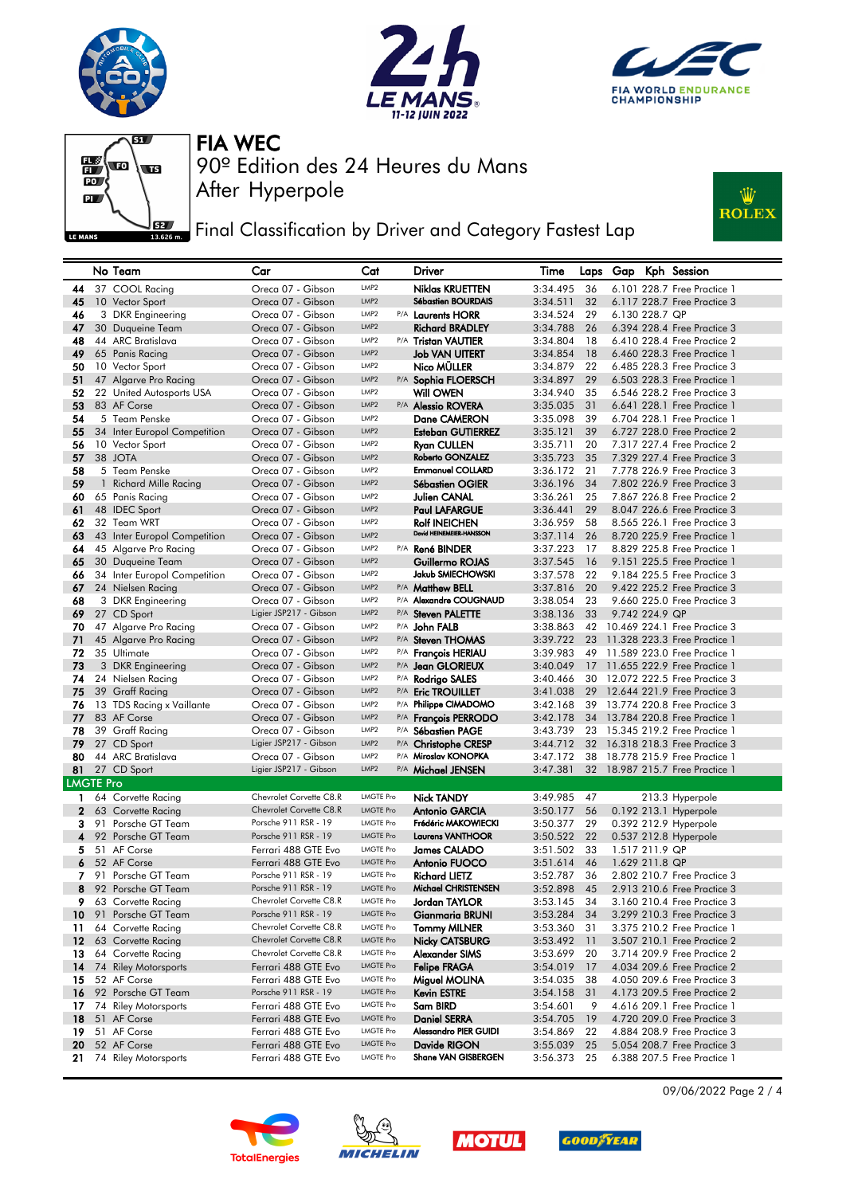







**Fig. 3** Final Classification by Driver and Category Fastest Lap



|                  |    | No Team                             | Car                                        | Cat                                  |     | <b>Driver</b>                                 | Time                 | Laps     | Gap            | Kph Session                                                |
|------------------|----|-------------------------------------|--------------------------------------------|--------------------------------------|-----|-----------------------------------------------|----------------------|----------|----------------|------------------------------------------------------------|
| 44               |    | 37 COOL Racing                      | Oreca 07 - Gibson                          | LMP2                                 |     | <b>Niklas KRUETTEN</b>                        | 3:34.495             | 36       |                | 6.101 228.7 Free Practice 1                                |
| 45               |    | 10 Vector Sport                     | Oreca 07 - Gibson                          | LMP <sub>2</sub>                     |     | Sébastien BOURDAIS                            | 3:34.511             | 32       |                | 6.117 228.7 Free Practice 3                                |
| 46               |    | 3 DKR Engineering                   | Oreca 07 - Gibson                          | LMP2                                 |     | P/A Laurents HORR                             | 3:34.524             | 29       | 6.130 228.7 QP |                                                            |
| 47               |    | 30 Duqueine Team                    | Oreca 07 - Gibson                          | LMP <sub>2</sub>                     |     | <b>Richard BRADLEY</b>                        | 3:34.788             | 26       |                | 6.394 228.4 Free Practice 3                                |
| 48               |    | 44 ARC Bratislava                   | Oreca 07 - Gibson                          | LMP <sub>2</sub>                     |     | P/A Tristan VAUTIER                           | 3:34.804             | 18       |                | 6.410 228.4 Free Practice 2                                |
| 49               |    | 65 Panis Racing                     | Oreca 07 - Gibson                          | LMP2                                 |     | <b>Job VAN UITERT</b>                         | 3:34.854             | 18       |                | 6.460 228.3 Free Practice 1                                |
| 50               |    | 10 Vector Sport                     | Oreca 07 - Gibson                          | LMP <sub>2</sub>                     |     | Nico MÜLLER                                   | 3:34.879             | 22       |                | 6.485 228.3 Free Practice 3                                |
| 51               |    | 47 Algarve Pro Racing               | Oreca 07 - Gibson                          | LMP2                                 |     | P/A Sophia FLOERSCH                           | 3:34.897             | 29       |                | 6.503 228.3 Free Practice 1                                |
| 52               |    | 22 United Autosports USA            | Oreca 07 - Gibson                          | LMP2                                 |     | Will OWEN                                     | 3:34.940             | 35       |                | 6.546 228.2 Free Practice 3                                |
| 53               |    | 83 AF Corse                         | Oreca 07 - Gibson                          | LMP2                                 |     | P/A Alessio ROVERA                            | 3:35.035             | 31       |                | 6.641 228.1 Free Practice 1                                |
| 54               |    | 5 Team Penske                       | Oreca 07 - Gibson                          | LMP <sub>2</sub>                     |     | Dane CAMERON                                  | 3:35.098             | 39       |                | 6.704 228.1 Free Practice 1                                |
| 55               |    | 34 Inter Europol Competition        | Oreca 07 - Gibson                          | LMP <sub>2</sub>                     |     | <b>Esteban GUTIERREZ</b>                      | 3:35.121             | 39       |                | 6.727 228.0 Free Practice 2                                |
| 56               |    | 10 Vector Sport<br>38 JOTA          | Oreca 07 - Gibson<br>Oreca 07 - Gibson     | LMP <sub>2</sub><br>LMP <sub>2</sub> |     | <b>Ryan CULLEN</b><br><b>Roberto GONZALEZ</b> | 3:35.711             | 20<br>35 |                | 7.317 227.4 Free Practice 2                                |
| 57<br>58         |    | 5 Team Penske                       |                                            | LMP <sub>2</sub>                     |     | <b>Emmanuel COLLARD</b>                       | 3:35.723             |          |                | 7.329 227.4 Free Practice 3<br>7.778 226.9 Free Practice 3 |
| 59               |    | 1 Richard Mille Racing              | Oreca 07 - Gibson<br>Oreca 07 - Gibson     | LMP <sub>2</sub>                     |     | <b>Sébastien OGIER</b>                        | 3:36.172<br>3:36.196 | 21<br>34 |                | 7.802 226.9 Free Practice 3                                |
| 60               |    | 65 Panis Racing                     | Oreca 07 - Gibson                          | LMP <sub>2</sub>                     |     | <b>Julien CANAL</b>                           | 3:36.261             | 25       |                | 7,867 226.8 Free Practice 2                                |
| 61               |    | 48 IDEC Sport                       | Oreca 07 - Gibson                          | LMP2                                 |     | <b>Paul LAFARGUE</b>                          | 3:36.441             | 29       |                | 8.047 226.6 Free Practice 3                                |
| 62               |    | 32 Team WRT                         | Oreca 07 - Gibson                          | LMP2                                 |     | <b>Rolf INEICHEN</b>                          | 3:36.959             | 58       |                | 8.565 226.1 Free Practice 3                                |
| 63               |    | 43 Inter Europol Competition        | Oreca 07 - Gibson                          | LMP2                                 |     | David HEINEMEIER-HANSSON                      | 3:37.114             | 26       |                | 8.720 225.9 Free Practice 1                                |
| 64               |    | 45 Algarve Pro Racing               | Oreca 07 - Gibson                          | LMP <sub>2</sub>                     |     | P/A René BINDER                               | 3:37.223             | 17       |                | 8.829 225.8 Free Practice 1                                |
| 65               |    | 30 Duqueine Team                    | Oreca 07 - Gibson                          | LMP <sub>2</sub>                     |     | Guillermo ROJAS                               | 3:37.545             | 16       |                | 9.151 225.5 Free Practice 1                                |
| 66               |    | 34 Inter Europol Competition        | Oreca 07 - Gibson                          | LMP <sub>2</sub>                     |     | Jakub SMIECHOWSKI                             | 3:37.578             | 22       |                | 9.184 225.5 Free Practice 3                                |
| 67               |    | 24 Nielsen Racing                   | Oreca 07 - Gibson                          | LMP <sub>2</sub>                     |     | P/A Matthew BELL                              | 3:37.816             | 20       |                | 9.422 225.2 Free Practice 3                                |
| 68               |    | 3 DKR Engineering                   | Oreca 07 - Gibson                          | LMP <sub>2</sub>                     |     | P/A Alexandre COUGNAUD                        | 3:38.054             | 23       |                | 9.660 225.0 Free Practice 3                                |
| 69               |    | 27 CD Sport                         | Ligier JSP217 - Gibson                     | LMP2                                 |     | P/A Steven PALETTE                            | 3:38.136             | 33       | 9.742 224.9 QP |                                                            |
| 70               |    | 47 Algarve Pro Racing               | Oreca 07 - Gibson                          | LMP2                                 |     | P/A John FALB                                 | 3:38.863             | 42       |                | 10.469 224.1 Free Practice 3                               |
| 71               |    | 45 Algarve Pro Racing               | Oreca 07 - Gibson                          | LMP2                                 |     | P/A Steven THOMAS                             | 3:39.722             | 23       |                | 11.328 223.3 Free Practice 1                               |
| 72               |    | 35 Ultimate                         | Oreca 07 - Gibson                          | LMP2                                 |     | P/A François HERIAU                           | 3:39.983             | 49       |                | 11.589 223.0 Free Practice 1                               |
| 73               |    | 3 DKR Engineering                   | Oreca 07 - Gibson                          | LMP2                                 |     | P/A Jean GLORIEUX                             | 3:40.049             | 17       |                | 11.655 222.9 Free Practice 1                               |
| 74               |    | 24 Nielsen Racing                   | Oreca 07 - Gibson                          | LMP <sub>2</sub>                     |     | P/A Rodrigo SALES                             | 3:40.466             | 30       |                | 12.072 222.5 Free Practice 3                               |
| 75               |    | 39 Graff Racing                     | Oreca 07 - Gibson                          | LMP <sub>2</sub>                     | P/A | <b>Eric TROUILLET</b>                         | 3:41.038             | 29       |                | 12.644 221.9 Free Practice 3                               |
| 76               |    | 13 TDS Racing x Vaillante           | Oreca 07 - Gibson                          | LMP <sub>2</sub>                     |     | P/A Philippe CIMADOMO                         | 3:42.168             | 39       |                | 13,774 220.8 Free Practice 3                               |
| 77               |    | 83 AF Corse                         | Oreca 07 - Gibson                          | LMP <sub>2</sub>                     |     | P/A François PERRODO                          | 3:42.178             | 34       |                | 13.784 220.8 Free Practice 1                               |
| 78               |    | 39 Graff Racing                     | Oreca 07 - Gibson                          | LMP <sub>2</sub>                     |     | P/A Sébastien PAGE                            | 3:43.739             | 23       |                | 15.345 219.2 Free Practice 1                               |
| 79               |    | 27 CD Sport                         | Ligier JSP217 - Gibson                     | LMP2                                 |     | P/A Christophe CRESP                          | 3:44.712             | 32       |                | 16.318 218.3 Free Practice 3                               |
| 80               |    | 44 ARC Bratislava                   | Oreca 07 - Gibson                          | LMP2                                 |     | P/A Miroslav KONOPKA                          | 3:47.172             | 38       |                | 18.778 215.9 Free Practice 1                               |
| 81               |    | 27 CD Sport                         | Ligier JSP217 - Gibson                     | LMP2                                 |     | P/A Michael JENSEN                            | 3:47.381             | 32       |                | 18.987 215.7 Free Practice 1                               |
| <b>LMGTE Pro</b> |    |                                     |                                            |                                      |     |                                               |                      |          |                |                                                            |
|                  |    | 1 64 Corvette Racing                | Chevrolet Corvette C8.R                    | <b>LMGTE Pro</b>                     |     | <b>Nick TANDY</b>                             | 3:49.985             | 47       |                | 213.3 Hyperpole                                            |
| $\mathbf{2}$     |    | 63 Corvette Racing                  | Chevrolet Corvette C8.R                    | <b>LMGTE Pro</b>                     |     | Antonio GARCIA                                | 3:50.177             | 56       |                | 0.192 213.1 Hyperpole                                      |
| 3                |    | 91 Porsche GT Team                  | Porsche 911 RSR - 19                       | <b>LMGTE Pro</b>                     |     | Frédéric MAKOWIECKI                           | 3:50.377             | 29       |                | 0.392 212.9 Hyperpole                                      |
| 4                |    | 92 Porsche GT Team                  | Porsche 911 RSR - 19                       | <b>LMGTE Pro</b>                     |     | <b>Laurens VANTHOOR</b>                       | 3:50.522             | 22       |                | 0.537 212.8 Hyperpole                                      |
| 5.               |    | 51 AF Corse                         | Ferrari 488 GTE Evo                        | <b>LMGTE Pro</b>                     |     | <b>James CALADO</b>                           | 3:51.502             | 33       | 1.517 211.9 QP |                                                            |
| 6                |    | 52 AF Corse                         | Ferrari 488 GTE Evo                        | <b>LMGTE Pro</b>                     |     | <b>Antonio FUOCO</b>                          | 3:51.614             | 46       | 1.629 211.8 QP |                                                            |
| 7                |    | 91 Porsche GT Team                  | Porsche 911 RSR - 19                       | <b>LMGTE Pro</b>                     |     | <b>Richard LIETZ</b>                          | 3:52.787             | 36       |                | 2.802 210.7 Free Practice 3                                |
| 8                |    | 92 Porsche GT Team                  | Porsche 911 RSR - 19                       | <b>LMGTE Pro</b>                     |     | Michael CHRISTENSEN                           | 3:52.898             | 45       |                | 2.913 210.6 Free Practice 3                                |
| 9.               |    | 63 Corvette Racing                  | Chevrolet Corvette C8.R                    | <b>LMGTE Pro</b>                     |     | Jordan TAYLOR                                 | 3:53.145             | 34       |                | 3.160 210.4 Free Practice 3                                |
| 10               | 91 | Porsche GT Team                     | Porsche 911 RSR - 19                       | <b>LMGTE Pro</b>                     |     | Gianmaria BRUNI                               | 3:53.284             | 34       |                | 3.299 210.3 Free Practice 3                                |
| 11               | 64 | Corvette Racing                     | Chevrolet Corvette C8.R                    | <b>LMGTE Pro</b>                     |     | <b>Tommy MILNER</b>                           | 3:53.360             | 31       |                | 3.375 210.2 Free Practice 1                                |
| 12 <sub>2</sub>  |    | 63 Corvette Racing                  | Chevrolet Corvette C8.R                    | <b>LMGTE Pro</b>                     |     | Nicky CATSBURG                                | 3:53.492             | 11       |                | 3.507 210.1 Free Practice 2                                |
| 13               |    | 64 Corvette Racing                  | Chevrolet Corvette C8.R                    | <b>LMGTE Pro</b>                     |     | Alexander SIMS                                | 3:53.699             | 20       |                | 3.714 209.9 Free Practice 2                                |
| 14               |    | 74 Riley Motorsports                | Ferrari 488 GTE Evo                        | <b>LMGTE Pro</b>                     |     | <b>Felipe FRAGA</b>                           | 3:54.019             | 17       |                | 4.034 209.6 Free Practice 2                                |
| 15               |    | 52 AF Corse                         | Ferrari 488 GTE Evo                        | <b>LMGTE Pro</b>                     |     | Miguel MOLINA                                 | 3:54.035             | 38       |                | 4.050 209.6 Free Practice 3                                |
| 16               |    | 92 Porsche GT Team                  | Porsche 911 RSR - 19                       | <b>LMGTE Pro</b><br><b>LMGTE Pro</b> |     | Kevin ESTRE                                   | 3:54.158             | 31       |                | 4.173 209.5 Free Practice 2                                |
| 17               |    | 74 Riley Motorsports<br>51 AF Corse | Ferrari 488 GTE Evo<br>Ferrari 488 GTE Evo | <b>LMGTE Pro</b>                     |     | Sam BIRD<br><b>Daniel SERRA</b>               | 3:54.601             | 9        |                | 4.616 209.1 Free Practice 1<br>4.720 209.0 Free Practice 3 |
| 18<br>19         |    | 51 AF Corse                         | Ferrari 488 GTE Evo                        | <b>LMGTE Pro</b>                     |     | Alessandro PIER GUIDI                         | 3:54.705<br>3:54.869 | 19<br>22 |                | 4.884 208.9 Free Practice 3                                |
| 20               |    | 52 AF Corse                         | Ferrari 488 GTE Evo                        | <b>LMGTE Pro</b>                     |     | Davide RIGON                                  | 3:55.039             | 25       |                | 5.054 208.7 Free Practice 3                                |
| 21               |    | 74 Riley Motorsports                | Ferrari 488 GTE Evo                        | <b>LMGTE Pro</b>                     |     | Shane VAN GISBERGEN                           | 3:56.373 25          |          |                | 6.388 207.5 Free Practice 1                                |
|                  |    |                                     |                                            |                                      |     |                                               |                      |          |                |                                                            |









09/06/2022 Page 2 / 4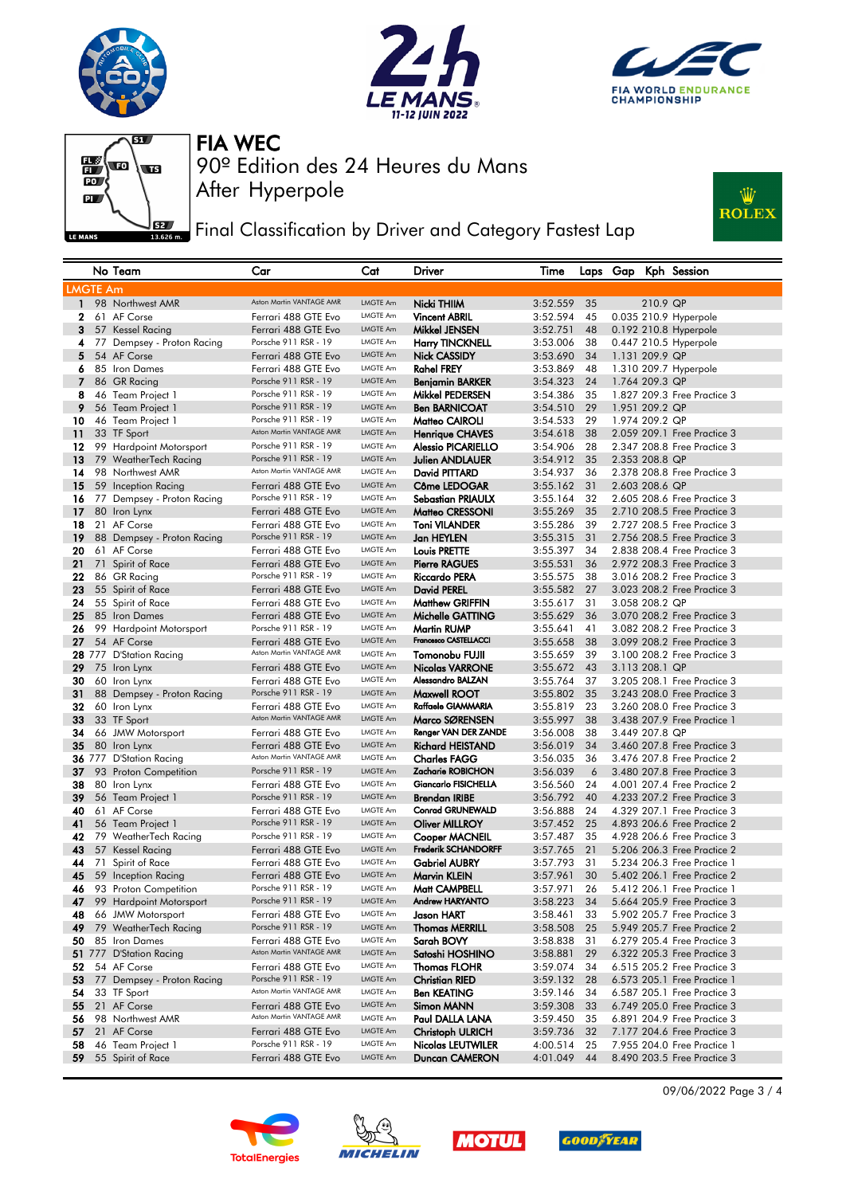







**JEZY** Final Classification by Driver and Category Fastest Lap



|                 | No Team                     | Car                                             | Cat                  | Driver                                      | Time                 |          |                |                | Laps Gap Kph Session                                       |
|-----------------|-----------------------------|-------------------------------------------------|----------------------|---------------------------------------------|----------------------|----------|----------------|----------------|------------------------------------------------------------|
| <b>LMGTE Am</b> |                             |                                                 |                      |                                             |                      |          |                |                |                                                            |
| $\mathbf{1}$    | 98 Northwest AMR            | Aston Martin VANTAGE AMR                        | LMGTE Am             | Nicki THIIM                                 | 3:52.559             | 35       |                | 210.9 QP       |                                                            |
| $\mathbf{2}$    | 61 AF Corse                 | Ferrari 488 GTE Evo                             | LMGTE Am             | <b>Vincent ABRIL</b>                        | 3:52.594             | 45       |                |                | 0.035 210.9 Hyperpole                                      |
| 3               | 57 Kessel Racing            | Ferrari 488 GTE Evo                             | LMGTE Am             | Mikkel JENSEN                               | 3:52.751             | 48       |                |                | 0.192 210.8 Hyperpole                                      |
| 4               | 77 Dempsey - Proton Racing  | Porsche 911 RSR - 19                            | LMGTE Am             | <b>Harry TINCKNELL</b>                      | 3:53.006             | 38       |                |                | 0.447 210.5 Hyperpole                                      |
| 5               | 54 AF Corse                 | Ferrari 488 GTE Evo                             | <b>LMGTE Am</b>      | <b>Nick CASSIDY</b>                         | 3:53.690             | 34       | 1.131 209.9 QP |                |                                                            |
| 6               | 85 Iron Dames               | Ferrari 488 GTE Evo                             | LMGTE Am             | <b>Rahel FREY</b>                           | 3:53.869             | 48       |                |                | 1.310 209.7 Hyperpole                                      |
| 7               | 86 GR Racing                | Porsche 911 RSR - 19                            | LMGTE Am             | <b>Benjamin BARKER</b>                      | 3:54.323             | 24       |                | 1.764 209.3 QP |                                                            |
| 8               | 46 Team Project 1           | Porsche 911 RSR - 19                            | LMGTE Am             | Mikkel PEDERSEN                             | 3:54.386             | 35       |                |                | 1.827 209.3 Free Practice 3                                |
| 9               | 56 Team Project 1           | Porsche 911 RSR - 19                            | LMGTE Am             | <b>Ben BARNICOAT</b>                        | 3:54.510             | 29       |                | 1.951 209.2 QP |                                                            |
| 10              | 46 Team Project 1           | Porsche 911 RSR - 19                            | LMGTE Am             | Matteo CAIROLI                              | 3:54.533             | 29       | 1.974 209.2 QP |                |                                                            |
| 11              | 33 TF Sport                 | Aston Martin VANTAGE AMR                        | LMGTE Am             | <b>Henrique CHAVES</b>                      | 3:54.618             | 38       |                |                | 2.059 209.1 Free Practice 3                                |
| 12              | 99 Hardpoint Motorsport     | Porsche 911 RSR - 19                            | LMGTE Am             | <b>Alessio PICARIELLO</b>                   | 3:54.906             | 28       |                |                | 2.347 208.8 Free Practice 3                                |
| 13              | 79 WeatherTech Racing       | Porsche 911 RSR - 19                            | <b>LMGTE Am</b>      | <b>Julien ANDLAUER</b>                      | 3:54.912             | 35       |                | 2.353 208.8 QP |                                                            |
| 14              | 98 Northwest AMR            | Aston Martin VANTAGE AMR                        | LMGTE Am             | David PITTARD                               | 3:54.937             | 36       |                |                | 2.378 208.8 Free Practice 3                                |
| 15              | 59 Inception Racing         | Ferrari 488 GTE Evo                             | LMGTE Am             | Côme LEDOGAR                                | 3:55.162             | 31       |                | 2.603 208.6 QP |                                                            |
| 16              | 77 Dempsey - Proton Racing  | Porsche 911 RSR - 19                            | LMGTE Am             | Sebastian PRIAULX                           | 3:55.164             | 32       |                |                | 2.605 208.6 Free Practice 3                                |
| 17              | 80 Iron Lynx                | Ferrari 488 GTE Evo                             | LMGTE Am             | Matteo CRESSONI                             | 3:55.269             | 35       |                |                | 2.710 208.5 Free Practice 3                                |
| 18              | 21 AF Corse                 | Ferrari 488 GTE Evo                             | LMGTE Am             | <b>Toni VILANDER</b>                        | 3:55.286             | 39       |                |                | 2.727 208.5 Free Practice 3                                |
| 19              | 88 Dempsey - Proton Racing  | Porsche 911 RSR - 19                            | LMGTE Am             | Jan HEYLEN                                  | 3:55.315             | 31       |                |                | 2.756 208.5 Free Practice 3                                |
| 20              | 61 AF Corse                 | Ferrari 488 GTE Evo                             | LMGTE Am             | Louis PRETTE                                | 3:55.397             | 34       |                |                | 2.838 208.4 Free Practice 3                                |
| 21              | 71 Spirit of Race           | Ferrari 488 GTE Evo                             | LMGTE Am             | <b>Pierre RAGUES</b>                        | 3:55.531             | 36       |                |                | 2.972 208.3 Free Practice 3                                |
| 22              | 86 GR Racing                | Porsche 911 RSR - 19                            | LMGTE Am             | <b>Riccardo PERA</b>                        | 3:55.575             | 38       |                |                | 3.016 208.2 Free Practice 3                                |
| 23              | 55 Spirit of Race           | Ferrari 488 GTE Evo                             | <b>LMGTE Am</b>      | <b>David PEREL</b>                          | 3:55.582             | 27       |                |                | 3.023 208.2 Free Practice 3                                |
| 24              | 55 Spirit of Race           | Ferrari 488 GTE Evo                             | LMGTE Am             | <b>Matthew GRIFFIN</b>                      | 3:55.617             | 31       | 3.058 208.2 QP |                |                                                            |
| 25              | 85 Iron Dames               | Ferrari 488 GTE Evo                             | LMGTE Am             | Michelle GATTING                            | 3:55.629             | 36       |                |                | 3.070 208.2 Free Practice 3                                |
| 26              | 99 Hardpoint Motorsport     | Porsche 911 RSR - 19                            | LMGTE Am             | <b>Martin RUMP</b><br>Francesco CASTELLACCI | 3:55.641             | 41       |                |                | 3.082 208.2 Free Practice 3                                |
| 27              | 54 AF Corse                 | Ferrari 488 GTE Evo<br>Aston Martin VANTAGE AMR | <b>LMGTE Am</b>      |                                             | 3:55.658             | 38       |                |                | 3.099 208.2 Free Practice 3                                |
|                 | 28 777 D'Station Racing     |                                                 | LMGTE Am             | Tomonobu FUJII                              | 3:55.659             | 39       |                |                | 3.100 208.2 Free Practice 3                                |
| 29              | 75 Iron Lynx                | Ferrari 488 GTE Evo                             | LMGTE Am<br>LMGTE Am | <b>Nicolas VARRONE</b><br>Alessandro BALZAN | 3:55.672             | 43       | 3.113 208.1 QP |                |                                                            |
| 30              | 60 Iron Lynx                | Ferrari 488 GTE Evo<br>Porsche 911 RSR - 19     | LMGTE Am             |                                             | 3:55.764             | 37       |                |                | 3.205 208.1 Free Practice 3                                |
| 31<br>32        | 88 Dempsey - Proton Racing  | Ferrari 488 GTE Evo                             | LMGTE Am             | Maxwell ROOT<br>Raffaele GIAMMARIA          | 3:55.802             | 35<br>23 |                |                | 3.243 208.0 Free Practice 3<br>3.260 208.0 Free Practice 3 |
| 33              | 60 Iron Lynx<br>33 TF Sport | Aston Martin VANTAGE AMR                        | LMGTE Am             | Marco SØRENSEN                              | 3:55.819<br>3:55.997 | 38       |                |                | 3.438 207.9 Free Practice 1                                |
| 34              | 66 JMW Motorsport           | Ferrari 488 GTE Evo                             | LMGTE Am             | Renger VAN DER ZANDE                        | 3:56.008             | 38       |                | 3.449 207.8 QP |                                                            |
| 35              | 80 Iron Lynx                | Ferrari 488 GTE Evo                             | <b>LMGTE Am</b>      | <b>Richard HEISTAND</b>                     | 3:56.019             | 34       |                |                | 3.460 207.8 Free Practice 3                                |
|                 | 36 777 D'Station Racing     | Aston Martin VANTAGE AMR                        | LMGTE Am             | <b>Charles FAGG</b>                         | 3:56.035             | 36       |                |                | 3.476 207.8 Free Practice 2                                |
| 37              | 93 Proton Competition       | Porsche 911 RSR - 19                            | <b>LMGTE Am</b>      | Zacharie ROBICHON                           | 3:56.039             | 6        |                |                | 3.480 207.8 Free Practice 3                                |
| 38              | 80 Iron Lynx                | Ferrari 488 GTE Evo                             | LMGTE Am             | Giancarlo FISICHELLA                        | 3:56.560             | 24       |                |                | 4.001 207.4 Free Practice 2                                |
| 39              | 56 Team Project 1           | Porsche 911 RSR - 19                            | LMGTE Am             | <b>Brendan IRIBE</b>                        | 3:56.792             | 40       |                |                | 4.233 207.2 Free Practice 3                                |
| 40              | 61 AF Corse                 | Ferrari 488 GTE Evo                             | LMGTE Am             | <b>Conrad GRUNEWALD</b>                     | 3:56.888             | 24       |                |                | 4.329 207.1 Free Practice 3                                |
| 41              | 56 Team Project 1           | Porsche 911 RSR - 19                            | LMGTE Am             | <b>Oliver MILLROY</b>                       | 3:57.452             | 25       |                |                | 4.893 206.6 Free Practice 2                                |
| 42              | 79 WeatherTech Racing       | Porsche 911 RSR - 19                            | LMGTE Am             | Cooper MACNEIL                              | 3:57.487             | 35       |                |                | 4.928 206.6 Free Practice 3                                |
| 43              | 57 Kessel Racing            | Ferrari 488 GTE Evo                             | LMGTE Am             | <b>Frederik SCHANDORFF</b>                  | 3:57.765             | 21       |                |                | 5.206 206.3 Free Practice 2                                |
| 44              | 71 Spirit of Race           | Ferrari 488 GTE Evo                             | LMGTE Am             | <b>Gabriel AUBRY</b>                        | 3:57.793             | 31       |                |                | 5.234 206.3 Free Practice 1                                |
| 45              | 59 Inception Racing         | Ferrari 488 GTE Evo                             | LMGTE Am             | Marvin KLEIN                                | 3:57.961             | 30       |                |                | 5.402 206.1 Free Practice 2                                |
|                 | 46 93 Proton Competition    | Porsche 911 RSR - 19                            | LMGTE Am             | Matt CAMPBELL                               | 3:57.971             | 26       |                |                | 5.412 206.1 Free Practice 1                                |
|                 | 99 Hardpoint Motorsport     | Porsche 911 RSR - 19                            | LMGTE Am             | Andrew HARYANTO                             | 3:58.223             | 34       |                |                | 5.664 205.9 Free Practice 3                                |
| 48              | 66 JMW Motorsport           | Ferrari 488 GTE Evo                             | LMGTE Am             | Jason HART                                  | 3:58.461             | 33       |                |                | 5.902 205.7 Free Practice 3                                |
| 49              | 79 WeatherTech Racing       | Porsche 911 RSR - 19                            | LMGTE Am             | <b>Thomas MERRILL</b>                       | 3:58.508             | 25       |                |                | 5.949 205.7 Free Practice 2                                |
| 50              | 85 Iron Dames               | Ferrari 488 GTE Evo                             | LMGTE Am             | Sarah BOVY                                  | 3:58.838             | 31       |                |                | 6.279 205.4 Free Practice 3                                |
|                 | 51 777 D'Station Racing     | Aston Martin VANTAGE AMR                        | LMGTE Am             | Satoshi HOSHINO                             | 3:58.881             | 29       |                |                | 6.322 205.3 Free Practice 3                                |
| 52              | 54 AF Corse                 | Ferrari 488 GTE Evo                             | LMGTE Am             | <b>Thomas FLOHR</b>                         | 3:59.074             | 34       |                |                | 6.515 205.2 Free Practice 3                                |
| 53              | 77 Dempsey - Proton Racing  | Porsche 911 RSR - 19                            | <b>LMGTE Am</b>      | <b>Christian RIED</b>                       | 3:59.132             | 28       |                |                | 6.573 205.1 Free Practice 1                                |
| 54              | 33 TF Sport                 | Aston Martin VANTAGE AMR                        | LMGTE Am             | <b>Ben KEATING</b>                          | 3:59.146             | 34       |                |                | 6.587 205.1 Free Practice 3                                |
| 55              | 21 AF Corse                 | Ferrari 488 GTE Evo                             | <b>LMGTE Am</b>      | Simon MANN                                  | 3:59.308             | 33       |                |                | 6.749 205.0 Free Practice 3                                |
| 56              | 98 Northwest AMR            | Aston Martin VANTAGE AMR                        | LMGTE Am             | Paul DALLA LANA                             | 3:59.450             | 35       |                |                | 6.891 204.9 Free Practice 3                                |
| 57              | 21 AF Corse                 | Ferrari 488 GTE Evo                             | LMGTE Am             | <b>Christoph ULRICH</b>                     | 3:59.736             | 32       |                |                | 7.177 204.6 Free Practice 3                                |
| 58              | 46 Team Project 1           | Porsche 911 RSR - 19                            | LMGTE Am             | <b>Nicolas LEUTWILER</b>                    | 4:00.514             | 25       |                |                | 7.955 204.0 Free Practice 1                                |
| 59              | 55 Spirit of Race           | Ferrari 488 GTE Evo                             | LMGTE Am             | Duncan CAMERON                              | 4:01.049             | 44       |                |                | 8.490 203.5 Free Practice 3                                |









09/06/2022 Page 3 / 4